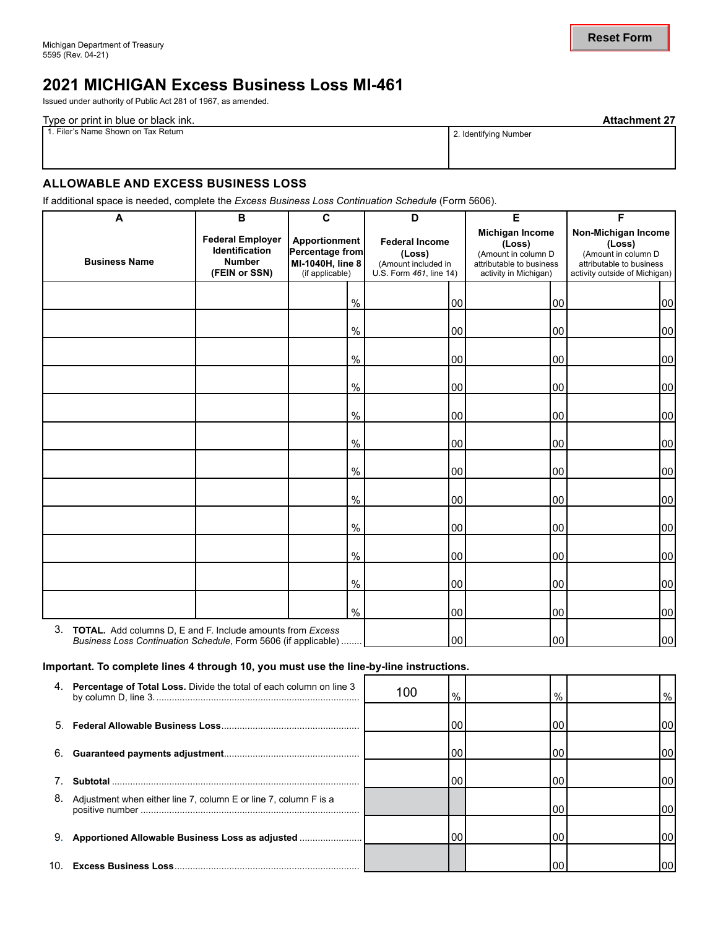# **2021 MICHIGAN Excess Business Loss MI-461**

Issued under authority of Public Act 281 of 1967, as amended.

| Type or print in blue or black ink. | <b>Attachment 27</b>  |
|-------------------------------------|-----------------------|
| 1. Filer's Name Shown on Tax Return | 2. Identifying Number |
|                                     |                       |
|                                     |                       |

## **ALLOWABLE AND EXCESS BUSINESS LOSS**

| <b>1. FIIBLE STRAITIE SHOWIT UIT TAX NETUITI</b>                                                                                |                                                                             |                                                                         |      |                                                                                   | 2. Identifying Number                                                                                 |        |                                                                                                                   |                 |
|---------------------------------------------------------------------------------------------------------------------------------|-----------------------------------------------------------------------------|-------------------------------------------------------------------------|------|-----------------------------------------------------------------------------------|-------------------------------------------------------------------------------------------------------|--------|-------------------------------------------------------------------------------------------------------------------|-----------------|
| <b>ALLOWABLE AND EXCESS BUSINESS LOSS</b>                                                                                       |                                                                             |                                                                         |      |                                                                                   |                                                                                                       |        |                                                                                                                   |                 |
| If additional space is needed, complete the Excess Business Loss Continuation Schedule (Form 5606).                             |                                                                             |                                                                         |      |                                                                                   |                                                                                                       |        |                                                                                                                   |                 |
| A                                                                                                                               | В                                                                           | $\mathbf{C}$                                                            |      | D                                                                                 | E                                                                                                     |        | F.                                                                                                                |                 |
| <b>Business Name</b>                                                                                                            | <b>Federal Employer</b><br>Identification<br><b>Number</b><br>(FEIN or SSN) | Apportionment<br>Percentage from<br>MI-1040H, line 8<br>(if applicable) |      | <b>Federal Income</b><br>(Loss)<br>(Amount included in<br>U.S. Form 461, line 14) | Michigan Income<br>(Loss)<br>(Amount in column D<br>attributable to business<br>activity in Michigan) |        | Non-Michigan Income<br>(Loss)<br>(Amount in column D<br>attributable to business<br>activity outside of Michigan) |                 |
|                                                                                                                                 |                                                                             |                                                                         | %    | 00                                                                                |                                                                                                       | 00     |                                                                                                                   | 00              |
|                                                                                                                                 |                                                                             |                                                                         | $\%$ | 00                                                                                |                                                                                                       | 00     |                                                                                                                   | 00 <sup>1</sup> |
|                                                                                                                                 |                                                                             |                                                                         | $\%$ | 00                                                                                |                                                                                                       | 00     |                                                                                                                   | 00              |
|                                                                                                                                 |                                                                             |                                                                         | $\%$ | 00                                                                                |                                                                                                       | 00     | 00                                                                                                                |                 |
|                                                                                                                                 |                                                                             |                                                                         | $\%$ | 00                                                                                |                                                                                                       | 00     |                                                                                                                   | 00              |
|                                                                                                                                 |                                                                             |                                                                         | $\%$ | 00                                                                                |                                                                                                       | 00     |                                                                                                                   | 00              |
|                                                                                                                                 |                                                                             |                                                                         | $\%$ | 00                                                                                |                                                                                                       | 00     |                                                                                                                   | 00              |
|                                                                                                                                 |                                                                             |                                                                         | $\%$ | 00                                                                                |                                                                                                       | 00     | 00                                                                                                                |                 |
|                                                                                                                                 |                                                                             |                                                                         | $\%$ | 00                                                                                |                                                                                                       | 00     | 00                                                                                                                |                 |
|                                                                                                                                 |                                                                             |                                                                         | %    | 00                                                                                |                                                                                                       | $00\,$ |                                                                                                                   | 00              |
|                                                                                                                                 |                                                                             |                                                                         | $\%$ | 00                                                                                |                                                                                                       | $00\,$ |                                                                                                                   | 00              |
|                                                                                                                                 |                                                                             |                                                                         | $\%$ | 00                                                                                |                                                                                                       | $00\,$ |                                                                                                                   | 00              |
| 3. TOTAL. Add columns D, E and F. Include amounts from Excess<br>Business Loss Continuation Schedule, Form 5606 (if applicable) |                                                                             |                                                                         |      | 00                                                                                |                                                                                                       | $00\,$ |                                                                                                                   | 00 <sup>1</sup> |

#### **Important. To complete lines 4 through 10, you must use the line-by-line instructions.**

|    | 4. Percentage of Total Loss. Divide the total of each column on line 3 | 100 | $\%$ | $\frac{0}{0}$ | $\frac{9}{6}$ |
|----|------------------------------------------------------------------------|-----|------|---------------|---------------|
| 5  |                                                                        |     | 00   | l OC          | l00l          |
| 6. |                                                                        |     | 00   | 00            | I00I          |
|    |                                                                        |     | 00   | 00            | l00l          |
| 8. | Adjustment when either line 7, column E or line 7, column F is a       |     |      | 00            | l001          |
| 9. | Apportioned Allowable Business Loss as adjusted                        |     | 00   | 00            | I00 I         |
|    |                                                                        |     |      |               | 00I           |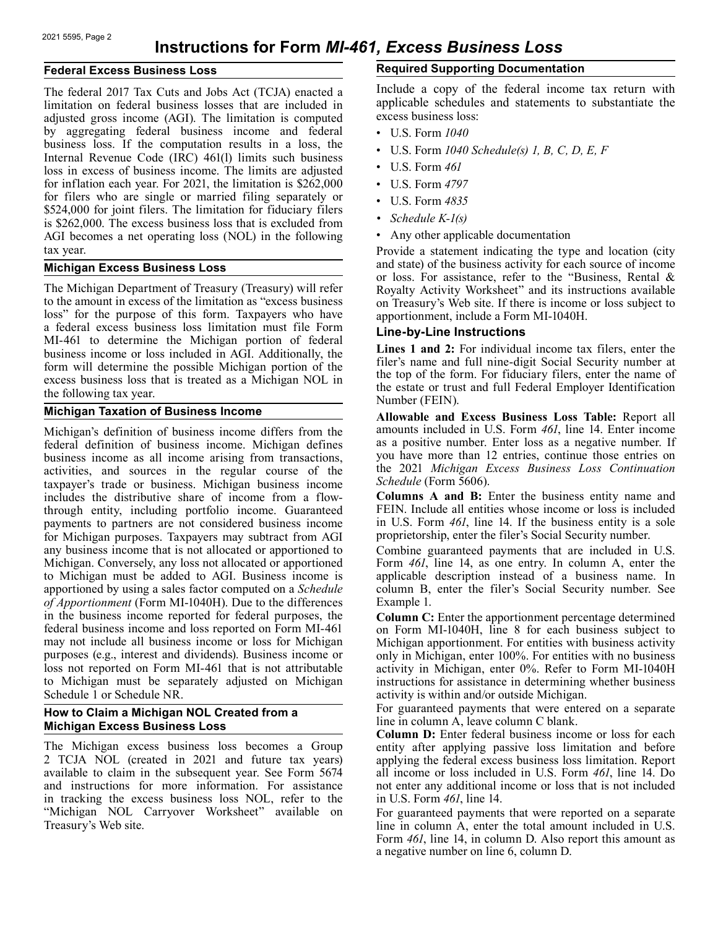## **Federal Excess Business Loss**

The federal 2017 Tax Cuts and Jobs Act (TCJA) enacted a limitation on federal business losses that are included in adjusted gross income (AGI). The limitation is computed by aggregating federal business income and federal business loss. If the computation results in a loss, the Internal Revenue Code (IRC) 461(l) limits such business loss in excess of business income. The limits are adjusted for inflation each year. For 2021, the limitation is \$262,000 for filers who are single or married filing separately or \$524,000 for joint filers. The limitation for fiduciary filers is \$262,000. The excess business loss that is excluded from AGI becomes a net operating loss (NOL) in the following tax year.

#### **Michigan Excess Business Loss**

The Michigan Department of Treasury (Treasury) will refer to the amount in excess of the limitation as "excess business loss" for the purpose of this form. Taxpayers who have a federal excess business loss limitation must file Form MI-461 to determine the Michigan portion of federal business income or loss included in AGI. Additionally, the form will determine the possible Michigan portion of the excess business loss that is treated as a Michigan NOL in the following tax year.

## **Michigan Taxation of Business Income**

Michigan's definition of business income differs from the federal definition of business income. Michigan defines business income as all income arising from transactions, activities, and sources in the regular course of the taxpayer's trade or business. Michigan business income includes the distributive share of income from a flowthrough entity, including portfolio income. Guaranteed payments to partners are not considered business income for Michigan purposes. Taxpayers may subtract from AGI any business income that is not allocated or apportioned to Michigan. Conversely, any loss not allocated or apportioned to Michigan must be added to AGI. Business income is apportioned by using a sales factor computed on a *Schedule of Apportionment* (Form MI-1040H). Due to the differences in the business income reported for federal purposes, the federal business income and loss reported on Form MI-461 may not include all business income or loss for Michigan purposes (e.g., interest and dividends). Business income or loss not reported on Form MI-461 that is not attributable to Michigan must be separately adjusted on Michigan Schedule 1 or Schedule NR.

#### **How to Claim a Michigan NOL Created from a Michigan Excess Business Loss**

The Michigan excess business loss becomes a Group 2 TCJA NOL (created in 2021 and future tax years) available to claim in the subsequent year. See Form 5674 and instructions for more information. For assistance in tracking the excess business loss NOL, refer to the "Michigan NOL Carryover Worksheet" available on Treasury's Web site.

# **Required Supporting Documentation**

Include a copy of the federal income tax return with applicable schedules and statements to substantiate the excess business loss:

- U.S. Form *1040*
- U.S. Form *1040 Schedule(s) 1, B, C, D, E, F*
- U.S. Form *461*
- U.S. Form *4797*
- U.S. Form *4835*
- *Schedule K-1(s)*
- Any other applicable documentation

Provide a statement indicating the type and location (city and state) of the business activity for each source of income or loss. For assistance, refer to the "Business, Rental & Royalty Activity Worksheet" and its instructions available on Treasury's Web site. If there is income or loss subject to apportionment, include a Form MI-1040H.

#### **Line-by-Line Instructions**

**Lines 1 and 2:** For individual income tax filers, enter the filer's name and full nine-digit Social Security number at the top of the form. For fiduciary filers, enter the name of the estate or trust and full Federal Employer Identification Number (FEIN).

**Allowable and Excess Business Loss Table:** Report all amounts included in U.S. Form *461*, line 14. Enter income as a positive number. Enter loss as a negative number. If you have more than 12 entries, continue those entries on the 2021 *Michigan Excess Business Loss Continuation Schedule* (Form 5606).

**Columns A and B:** Enter the business entity name and FEIN. Include all entities whose income or loss is included in U.S. Form *461*, line 14. If the business entity is a sole proprietorship, enter the filer's Social Security number.

Combine guaranteed payments that are included in U.S. Form 461, line 14, as one entry. In column A, enter the applicable description instead of a business name. In column B, enter the filer's Social Security number. See Example 1.

**Column C:** Enter the apportionment percentage determined on Form MI-1040H, line 8 for each business subject to Michigan apportionment. For entities with business activity only in Michigan, enter 100%. For entities with no business activity in Michigan, enter 0%. Refer to Form MI-1040H instructions for assistance in determining whether business activity is within and/or outside Michigan.

For guaranteed payments that were entered on a separate line in column A, leave column C blank.

**Column D:** Enter federal business income or loss for each entity after applying passive loss limitation and before applying the federal excess business loss limitation. Report all income or loss included in U.S. Form *461*, line 14. Do not enter any additional income or loss that is not included in U.S. Form *461*, line 14.

For guaranteed payments that were reported on a separate line in column A, enter the total amount included in U.S. Form *461*, line 14, in column D. Also report this amount as a negative number on line 6, column D.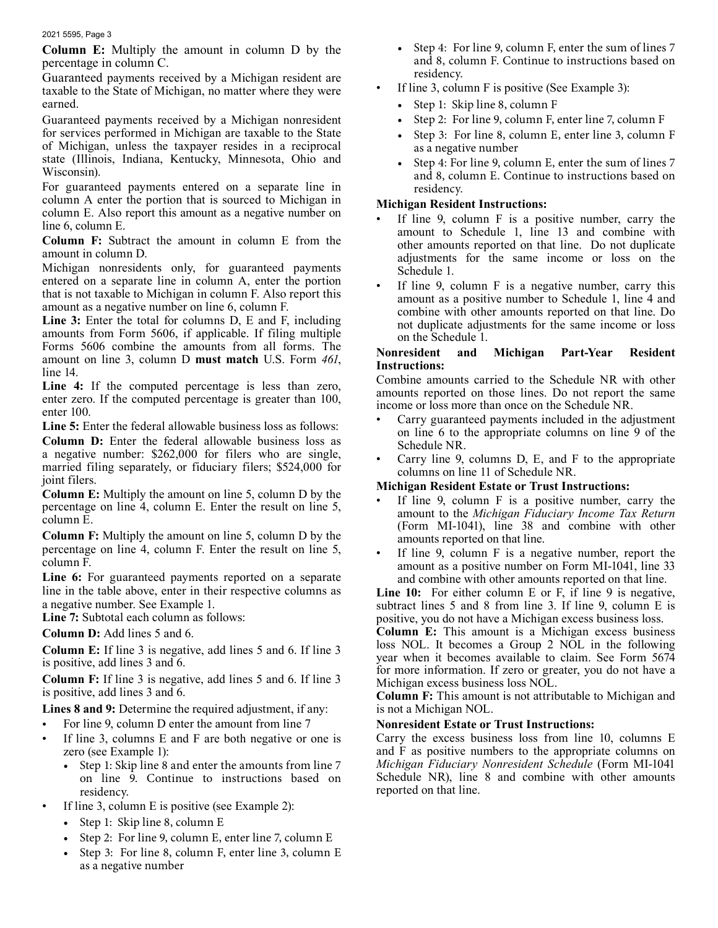**Column E:** Multiply the amount in column D by the percentage in column C.

Guaranteed payments received by a Michigan resident are taxable to the State of Michigan, no matter where they were earned.

Guaranteed payments received by a Michigan nonresident for services performed in Michigan are taxable to the State of Michigan, unless the taxpayer resides in a reciprocal state (Illinois, Indiana, Kentucky, Minnesota, Ohio and Wisconsin).

 column E. Also report this amount as a negative number on For guaranteed payments entered on a separate line in column A enter the portion that is sourced to Michigan in line 6, column E.

**Column F:** Subtract the amount in column E from the amount in column D.

Michigan nonresidents only, for guaranteed payments entered on a separate line in column A, enter the portion that is not taxable to Michigan in column F. Also report this amount as a negative number on line 6, column F.

**Line 3:** Enter the total for columns D, E and F, including amounts from Form 5606, if applicable. If filing multiple Forms 5606 combine the amounts from all forms. The amount on line 3, column D **must match** U.S. Form *461*, line 14.

**Line 4:** If the computed percentage is less than zero, enter zero. If the computed percentage is greater than 100, enter 100.

Line 5: Enter the federal allowable business loss as follows:

**Column D:** Enter the federal allowable business loss as a negative number: \$262,000 for filers who are single, married filing separately, or fiduciary filers; \$524,000 for joint filers.

**Column E:** Multiply the amount on line 5, column D by the percentage on line 4, column E. Enter the result on line 5, column E.

**Column F:** Multiply the amount on line 5, column D by the percentage on line 4, column F. Enter the result on line 5, column F.

Line 6: For guaranteed payments reported on a separate line in the table above, enter in their respective columns as a negative number. See Example 1.

**Line 7:** Subtotal each column as follows:

**Column D:** Add lines 5 and 6.

**Column E:** If line 3 is negative, add lines 5 and 6. If line 3 is positive, add lines 3 and 6.

**Column F:** If line 3 is negative, add lines 5 and 6. If line 3 is positive, add lines 3 and 6.

Lines 8 and 9: Determine the required adjustment, if any:

- For line 9, column D enter the amount from line 7
- If line 3, columns  $E$  and  $F$  are both negative or one is zero (see Example 1):
	- Step 1: Skip line 8 and enter the amounts from line 7 on line 9. Continue to instructions based on residency.
- If line 3, column E is positive (see Example 2):
	- Step 1: Skip line 8, column E
	- Step 2: For line 9, column E, enter line 7, column E
	- Step 3: For line 8, column F, enter line 3, column E as a negative number
- Step 4: For line 9, column F, enter the sum of lines 7 and 8, column F. Continue to instructions based on residency.
- If line 3, column  $F$  is positive (See Example 3):
	- Step 1: Skip line 8, column F
	- Step 2: For line 9, column F, enter line 7, column F
	- Step 3: For line 8, column E, enter line 3, column F as a negative number
	- Step 4: For line 9, column E, enter the sum of lines 7 and 8, column E. Continue to instructions based on residency.

## **Michigan Resident Instructions:**

- If line 9, column  $F$  is a positive number, carry the amount to Schedule 1, line 13 and combine with other amounts reported on that line. Do not duplicate adjustments for the same income or loss on the Schedule 1.
- If line 9, column  $F$  is a negative number, carry this amount as a positive number to Schedule 1, line 4 and combine with other amounts reported on that line. Do not duplicate adjustments for the same income or loss on the Schedule 1.

#### **Nonresident and Michigan Part-Year Resident Instructions:**

Combine amounts carried to the Schedule NR with other amounts reported on those lines. Do not report the same income or loss more than once on the Schedule NR.

- Carry guaranteed payments included in the adjustment on line 6 to the appropriate columns on line 9 of the Schedule NR.
- Carry line 9, columns  $D$ ,  $E$ , and  $F$  to the appropriate columns on line 11 of Schedule NR.

#### **Michigan Resident Estate or Trust Instructions:**

- amounts reported on that line. If line 9, column  $F$  is a positive number, carry the amount to the *Michigan Fiduciary Income Tax Return*  (Form MI-1041), line 38 and combine with other
- If line 9, column  $F$  is a negative number, report the amount as a positive number on Form MI-1041, line 33 and combine with other amounts reported on that line.

Line 10: For either column E or F, if line 9 is negative, subtract lines 5 and 8 from line 3. If line 9, column E is positive, you do not have a Michigan excess business loss.

**Column E:** This amount is a Michigan excess business loss NOL. It becomes a Group 2 NOL in the following year when it becomes available to claim. See Form 5674 for more information. If zero or greater, you do not have a Michigan excess business loss NOL.

**Column F:** This amount is not attributable to Michigan and is not a Michigan NOL.

#### **Nonresident Estate or Trust Instructions:**

Carry the excess business loss from line 10, columns E and F as positive numbers to the appropriate columns on *Michigan Fiduciary Nonresident Schedule* (Form MI-1041 Schedule NR), line 8 and combine with other amounts reported on that line.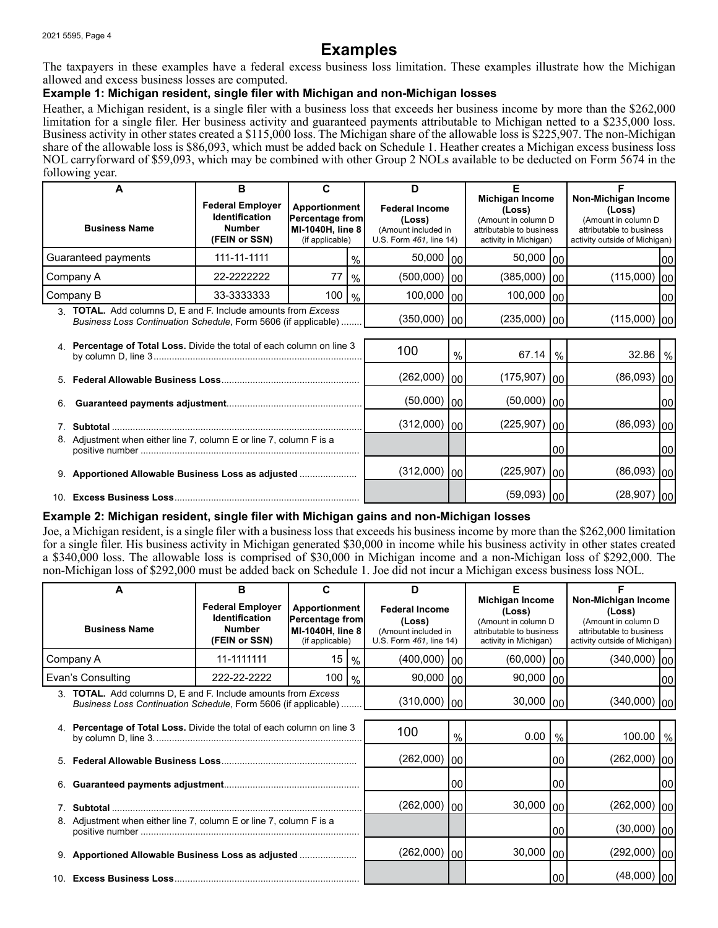# **Examples**

The taxpayers in these examples have a federal excess business loss limitation. These examples illustrate how the Michigan allowed and excess business losses are computed.

# **Example 1: Michigan resident, single filer with Michigan and non-Michigan losses**

Heather, a Michigan resident, is a single filer with a business loss that exceeds her business income by more than the \$262,000 limitation for a single filer. Her business activity and guaranteed payments attributable to Michigan netted to a \$235,000 loss. Business activity in other states created a \$115,000 loss. The Michigan share of the allowable loss is \$225,907. The non-Michigan share of the allowable loss is \$86,093, which must be added back on Schedule 1. Heather creates a Michigan excess business loss NOL carryforward of \$59,093, which may be combined with other Group 2 NOLs available to be deducted on Form 5674 in the following year.

| A<br><b>Business Name</b>                                                                                                                            | в<br><b>Federal Employer</b><br><b>Identification</b><br>Number<br>(FEIN or SSN) | Apportionment<br>Percentage from<br>MI-1040H, line 8<br>(if applicable) |      | D<br><b>Federal Income</b><br>(Loss)<br>(Amount included in<br>U.S. Form 461, line 14) |   | <b>Michigan Income</b><br>(Loss)<br>(Amount in column D<br>attributable to business<br>activity in Michigan) |      | Non-Michigan Income<br>(Loss)<br>(Amount in column D<br>attributable to business<br>activity outside of Michigan) |      |
|------------------------------------------------------------------------------------------------------------------------------------------------------|----------------------------------------------------------------------------------|-------------------------------------------------------------------------|------|----------------------------------------------------------------------------------------|---|--------------------------------------------------------------------------------------------------------------|------|-------------------------------------------------------------------------------------------------------------------|------|
| Guaranteed payments                                                                                                                                  | 111-11-1111                                                                      |                                                                         | $\%$ | $50,000$ $ 00 $                                                                        |   | $50,000$ $ 00 $                                                                                              |      |                                                                                                                   | 1001 |
| Company A                                                                                                                                            | 22-2222222                                                                       | 77                                                                      | $\%$ | $(500,000)$  00                                                                        |   | (385,000)                                                                                                    | lool | $(115,000)$ 00                                                                                                    |      |
| Company B                                                                                                                                            | 33-3333333                                                                       | 100   96                                                                |      | $100,000$ $ 00 $                                                                       |   | $100,000$ $ 00 $                                                                                             |      |                                                                                                                   | 100  |
| <b>TOTAL.</b> Add columns D, E and F. Include amounts from Excess<br>$\mathcal{R}$<br>Business Loss Continuation Schedule, Form 5606 (if applicable) |                                                                                  |                                                                         |      | $(350,000)$  00                                                                        |   | $(235,000)$  00                                                                                              |      | $(115,000)$ 00                                                                                                    |      |
| Percentage of Total Loss. Divide the total of each column on line 3                                                                                  |                                                                                  |                                                                         |      | 100                                                                                    | % | 67.14                                                                                                        | $\%$ | $32.86 \mid \frac{9}{6}$                                                                                          |      |

|    |                                                                     | 100             | $\%$ | $67.14 \mid %$  |    | $32.86$ \%        |      |
|----|---------------------------------------------------------------------|-----------------|------|-----------------|----|-------------------|------|
|    |                                                                     | $(262,000)$  00 |      | $(175,907)$  00 |    | $(86,093)$ 00     |      |
| 6. |                                                                     | $(50,000)$  00  |      | $(50,000)$   00 |    |                   | I00I |
|    |                                                                     | $(312,000)$  00 |      | $(225,907)$ 00  |    | $(86,093)$ $ 00 $ |      |
|    | 8. Adjustment when either line 7, column E or line 7, column F is a |                 |      |                 | 00 |                   | 1001 |
|    | 9. Apportioned Allowable Business Loss as adjusted                  | $(312,000)$  00 |      | $(225,907)$ 00  |    | $(86,093)$  00    |      |
|    |                                                                     |                 |      | $(59,093)$   00 |    | $(28,907)$ 00     |      |

## **Example 2: Michigan resident, single filer with Michigan gains and non-Michigan losses**

Joe, a Michigan resident, is a single filer with a business loss that exceeds his business income by more than the \$262,000 limitation for a single filer. His business activity in Michigan generated \$30,000 in income while his business activity in other states created a \$340,000 loss. The allowable loss is comprised of \$30,000 in Michigan income and a non-Michigan loss of \$292,000. The non-Michigan loss of \$292,000 must be added back on Schedule 1. Joe did not incur a Michigan excess business loss NOL.

| A<br><b>Business Name</b>                                                                                                                |                                                                  | в<br><b>Federal Employer</b><br><b>Identification</b><br><b>Number</b><br>(FEIN or SSN) | C<br>Apportionment<br>Percentage from<br>MI-1040H, line 8<br>(if applicable) |                 | D<br><b>Federal Income</b><br>(Loss)<br>(Amount included in<br>U.S. Form 461, line 14) |             | <b>Michigan Income</b><br>(Loss)<br>(Amount in column D<br>attributable to business<br>activity in Michigan) |                    | Non-Michigan Income<br>(Loss)<br>(Amount in column D<br>attributable to business<br>activity outside of Michigan) |      |
|------------------------------------------------------------------------------------------------------------------------------------------|------------------------------------------------------------------|-----------------------------------------------------------------------------------------|------------------------------------------------------------------------------|-----------------|----------------------------------------------------------------------------------------|-------------|--------------------------------------------------------------------------------------------------------------|--------------------|-------------------------------------------------------------------------------------------------------------------|------|
|                                                                                                                                          | Company A                                                        | 11-1111111                                                                              | 15                                                                           | $\frac{0}{0}$   | (400,000)                                                                              | 00          | $(60,000)$ 00                                                                                                |                    | $(340,000)$ $ 00 $                                                                                                |      |
|                                                                                                                                          | Evan's Consulting                                                | 222-22-2222                                                                             | 100                                                                          | %               | 90,000   00                                                                            |             | 90,000   00                                                                                                  |                    |                                                                                                                   | 1001 |
| <b>TOTAL.</b> Add columns D, E and F. Include amounts from Excess<br>3<br>Business Loss Continuation Schedule, Form 5606 (if applicable) |                                                                  |                                                                                         |                                                                              | $(310,000)$  00 |                                                                                        | 30,000   00 |                                                                                                              | $(340,000)$ $ 00 $ |                                                                                                                   |      |
| 4. Percentage of Total Loss. Divide the total of each column on line 3                                                                   |                                                                  |                                                                                         |                                                                              | 100             | %                                                                                      | 0.00        | $\%$                                                                                                         | 100.00   %         |                                                                                                                   |      |
| 5.                                                                                                                                       |                                                                  |                                                                                         |                                                                              | (262,000)       | 100 <sub>1</sub>                                                                       |             | 100                                                                                                          | $(262,000)$ $ 00 $ |                                                                                                                   |      |
| 6.                                                                                                                                       |                                                                  |                                                                                         |                                                                              |                 |                                                                                        | 00          |                                                                                                              | 00                 |                                                                                                                   | 1001 |
|                                                                                                                                          |                                                                  |                                                                                         |                                                                              |                 | (262,000)                                                                              | 00          | 30,000                                                                                                       | 1001               | $(262,000)$ $ 00 $                                                                                                |      |
|                                                                                                                                          | Adjustment when either line 7, column E or line 7, column F is a |                                                                                         |                                                                              |                 |                                                                                        |             |                                                                                                              | 100                | $(30,000)$ $ 00 $                                                                                                 |      |
|                                                                                                                                          |                                                                  |                                                                                         |                                                                              |                 | (262,000)                                                                              | 00          | 30,000                                                                                                       | 00                 | $(292,000)$ $ 00 $                                                                                                |      |
| 10                                                                                                                                       |                                                                  |                                                                                         |                                                                              |                 |                                                                                        |             | 100                                                                                                          | (48,000)           | 100                                                                                                               |      |